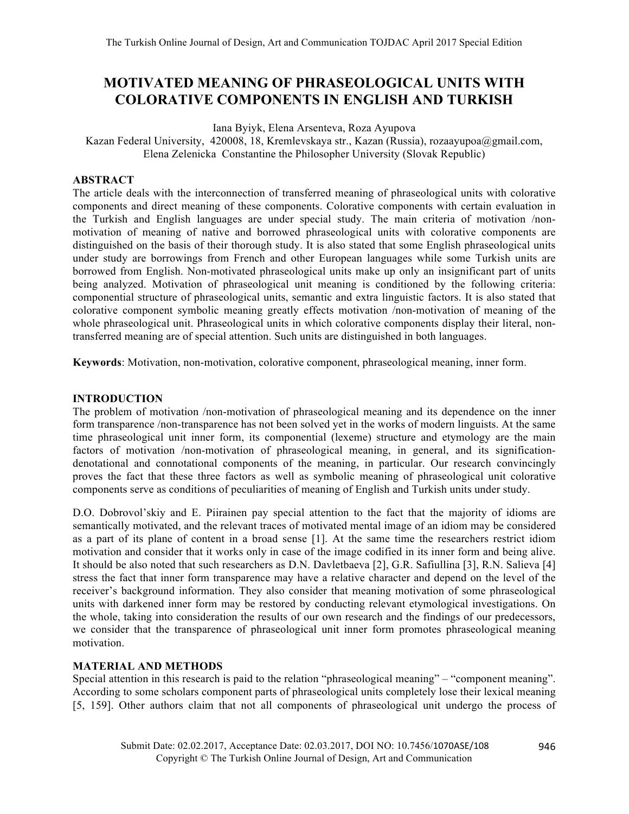# **MOTIVATED MEANING OF PHRASEOLOGICAL UNITS WITH COLORATIVE COMPONENTS IN ENGLISH AND TURKISH**

Iana Byiyk, Elena Arsenteva, Roza Ayupova

Kazan Federal University, 420008, 18, Kremlevskaya str., Kazan (Russia), rozaayupoa@gmail.com, Elena Zelenicka Constantine the Philosopher University (Slovak Republic)

### **ABSTRACT**

The article deals with the interconnection of transferred meaning of phraseological units with colorative components and direct meaning of these components. Colorative components with certain evaluation in the Turkish and English languages are under special study. The main criteria of motivation /nonmotivation of meaning of native and borrowed phraseological units with colorative components are distinguished on the basis of their thorough study. It is also stated that some English phraseological units under study are borrowings from French and other European languages while some Turkish units are borrowed from English. Non-motivated phraseological units make up only an insignificant part of units being analyzed. Motivation of phraseological unit meaning is conditioned by the following criteria: componential structure of phraseological units, semantic and extra linguistic factors. It is also stated that colorative component symbolic meaning greatly effects motivation /non-motivation of meaning of the whole phraseological unit. Phraseological units in which colorative components display their literal, nontransferred meaning are of special attention. Such units are distinguished in both languages.

**Keywords**: Motivation, non-motivation, colorative component, phraseological meaning, inner form.

### **INTRODUCTION**

The problem of motivation /non-motivation of phraseological meaning and its dependence on the inner form transparence /non-transparence has not been solved yet in the works of modern linguists. At the same time phraseological unit inner form, its componential (lexeme) structure and etymology are the main factors of motivation /non-motivation of phraseological meaning, in general, and its significationdenotational and connotational components of the meaning, in particular. Our research convincingly proves the fact that these three factors as well as symbolic meaning of phraseological unit colorative components serve as conditions of peculiarities of meaning of English and Turkish units under study.

D.O. Dobrovol'skiy and E. Piirainen pay special attention to the fact that the majority of idioms are semantically motivated, and the relevant traces of motivated mental image of an idiom may be considered as a part of its plane of content in a broad sense [1]. At the same time the researchers restrict idiom motivation and consider that it works only in case of the image codified in its inner form and being alive. It should be also noted that such researchers as D.N. Davletbaeva [2], G.R. Safiullina [3], R.N. Salieva [4] stress the fact that inner form transparence may have a relative character and depend on the level of the receiver's background information. They also consider that meaning motivation of some phraseological units with darkened inner form may be restored by conducting relevant etymological investigations. On the whole, taking into consideration the results of our own research and the findings of our predecessors, we consider that the transparence of phraseological unit inner form promotes phraseological meaning motivation.

#### **MATERIAL AND METHODS**

Special attention in this research is paid to the relation "phraseological meaning" – "component meaning". According to some scholars component parts of phraseological units completely lose their lexical meaning [5, 159]. Other authors claim that not all components of phraseological unit undergo the process of

946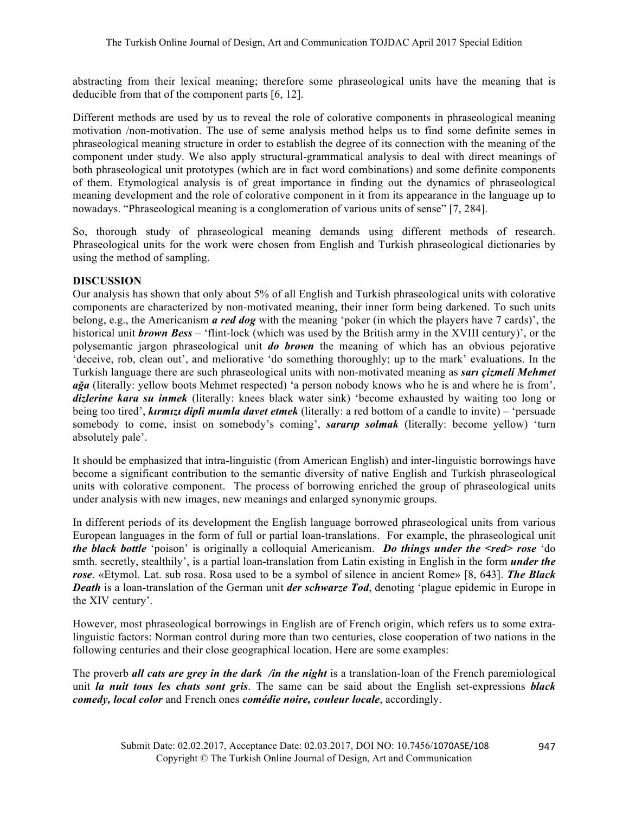abstracting from their lexical meaning; therefore some phraseological units have the meaning that is deducible from that of the component parts [6, 12].

Different methods are used by us to reveal the role of colorative components in phraseological meaning motivation /non-motivation. The use of seme analysis method helps us to find some definite semes in phraseological meaning structure in order to establish the degree of its connection with the meaning of the component under study. We also apply structural-grammatical analysis to deal with direct meanings of both phraseological unit prototypes (which are in fact word combinations) and some definite components of them. Etymological analysis is of great importance in finding out the dynamics of phraseological meaning development and the role of colorative component in it from its appearance in the language up to nowadays. "Phraseological meaning is a conglomeration of various units of sense" [7, 284].

So, thorough study of phraseological meaning demands using different methods of research. Phraseological units for the work were chosen from English and Turkish phraseological dictionaries by using the method of sampling.

### **DISCUSSION**

Our analysis has shown that only about 5% of all English and Turkish phraseological units with colorative components are characterized by non-motivated meaning, their inner form being darkened. To such units belong, e.g., the Americanism *a red dog* with the meaning 'poker (in which the players have 7 cards)', the historical unit *brown Bess* – 'flint-lock (which was used by the British army in the XVIII century)', or the polysemantic jargon phraseological unit *do brown* the meaning of which has an obvious pejorative 'deceive, rob, clean out', and meliorative 'do something thoroughly; up to the mark' evaluations. In the Turkish language there are such phraseological units with non-motivated meaning as *sarı çizmeli Mehmet ağa* (literally: yellow boots Mehmet respected) 'a person nobody knows who he is and where he is from', *dizlerine kara su inmek* (literally: knees black water sink) 'become exhausted by waiting too long or being too tired', *kırmızı dipli mumla davet etmek* (literally: a red bottom of a candle to invite) – 'persuade somebody to come, insist on somebody's coming', *sararıp solmak* (literally: become yellow) 'turn absolutely pale'.

It should be emphasized that intra-linguistic (from American English) and inter-linguistic borrowings have become a significant contribution to the semantic diversity of native English and Turkish phraseological units with colorative component. The process of borrowing enriched the group of phraseological units under analysis with new images, new meanings and enlarged synonymic groups.

In different periods of its development the English language borrowed phraseological units from various European languages in the form of full or partial loan-translations. For example, the phraseological unit *the black bottle* 'poison' is originally a colloquial Americanism. *Do things under the <red> rose* 'do smth. secretly, stealthily', is a partial loan-translation from Latin existing in English in the form *under the rose*. «Etymol. Lat. sub rosa. Rosa used to be a symbol of silence in ancient Rome» [8, 643]. *The Black Death* is a loan-translation of the German unit *der schwarze Tod*, denoting 'plague epidemic in Europe in the XIV century'.

However, most phraseological borrowings in English are of French origin, which refers us to some extralinguistic factors: Norman control during more than two centuries, close cooperation of two nations in the following centuries and their close geographical location. Here are some examples:

The proverb *all cats are grey in the dark /in the night* is a translation-loan of the French paremiological unit *la nuit tous les chats sont gris*. The same can be said about the English set-expressions *black comedy, local color* and French ones *comédie noire, couleur locale*, accordingly.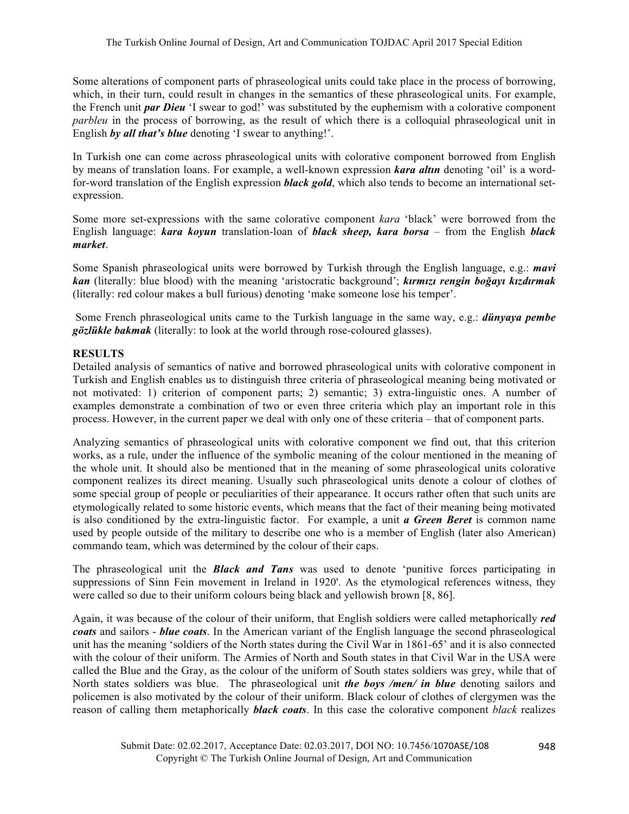Some alterations of component parts of phraseological units could take place in the process of borrowing, which, in their turn, could result in changes in the semantics of these phraseological units. For example, the French unit *par Dieu* 'I swear to god!' was substituted by the euphemism with a colorative component *parbleu* in the process of borrowing, as the result of which there is a colloquial phraseological unit in English *by all that's blue* denoting 'I swear to anything!'.

In Turkish one can come across phraseological units with colorative component borrowed from English by means of translation loans. For example, a well-known expression *kara altın* denoting 'oil' is a wordfor-word translation of the English expression *black gold*, which also tends to become an international setexpression.

Some more set-expressions with the same colorative component *kara* 'black' were borrowed from the English language: *kara koyun* translation-loan of *black sheep, kara borsa* – from the English *black market*.

Some Spanish phraseological units were borrowed by Turkish through the English language, e.g.: *mavi kan* (literally: blue blood) with the meaning 'aristocratic background'; *kırmızı rengin boğayı kızdırmak* (literally: red colour makes a bull furious) denoting 'make someone lose his temper'.

Some French phraseological units came to the Turkish language in the same way, e.g.: *dünyaya pembe gözlükle bakmak* (literally: to look at the world through rose-coloured glasses).

## **RESULTS**

Detailed analysis of semantics of native and borrowed phraseological units with colorative component in Turkish and English enables us to distinguish three criteria of phraseological meaning being motivated or not motivated: 1) criterion of component parts; 2) semantic; 3) extra-linguistic ones. A number of examples demonstrate a combination of two or even three criteria which play an important role in this process. However, in the current paper we deal with only one of these criteria – that of component parts.

Analyzing semantics of phraseological units with colorative component we find out, that this criterion works, as a rule, under the influence of the symbolic meaning of the colour mentioned in the meaning of the whole unit. It should also be mentioned that in the meaning of some phraseological units colorative component realizes its direct meaning. Usually such phraseological units denote a colour of clothes of some special group of people or peculiarities of their appearance. It occurs rather often that such units are etymologically related to some historic events, which means that the fact of their meaning being motivated is also conditioned by the extra-linguistic factor. For example, a unit *a Green Beret* is common name used by people outside of the military to describe one who is a member of English (later also American) commando team, which was determined by the colour of their caps.

The phraseological unit the *Black and Tans* was used to denote 'punitive forces participating in suppressions of Sinn Fein movement in Ireland in 1920'. As the etymological references witness, they were called so due to their uniform colours being black and yellowish brown [8, 86].

Again, it was because of the colour of their uniform, that English soldiers were called metaphorically *red coats* and sailors - *blue coats*. In the American variant of the English language the second phraseological unit has the meaning 'soldiers of the North states during the Civil War in 1861-65' and it is also connected with the colour of their uniform. The Armies of North and South states in that Civil War in the USA were called the Blue and the Gray, as the colour of the uniform of South states soldiers was grey, while that of North states soldiers was blue. The phraseological unit *the boys /men/ in blue* denoting sailors and policemen is also motivated by the colour of their uniform. Black colour of clothes of clergymen was the reason of calling them metaphorically *black coats*. In this case the colorative component *black* realizes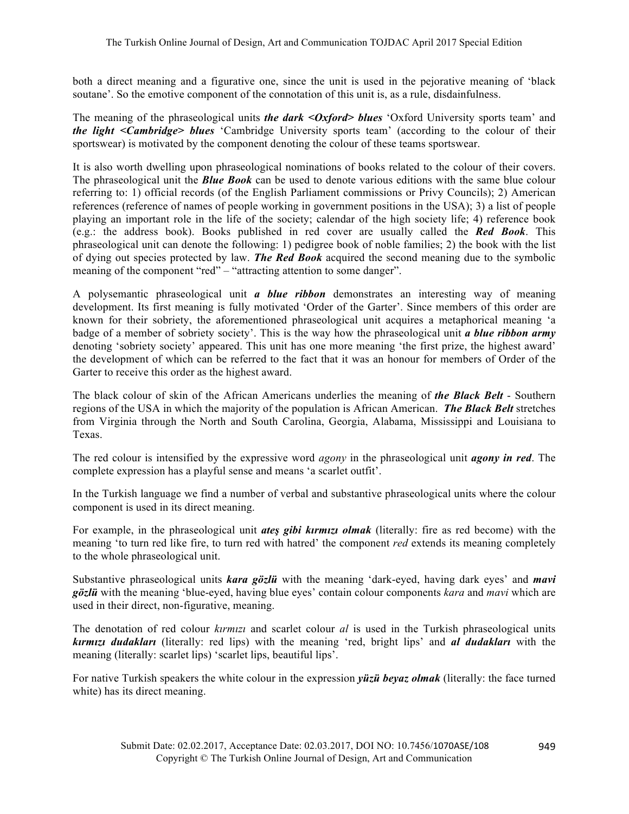both a direct meaning and a figurative one, since the unit is used in the pejorative meaning of 'black soutane'. So the emotive component of the connotation of this unit is, as a rule, disdainfulness.

The meaning of the phraseological units *the dark <Oxford> blues* 'Oxford University sports team' and *the light <Cambridge> blues* 'Cambridge University sports team' (according to the colour of their sportswear) is motivated by the component denoting the colour of these teams sportswear.

It is also worth dwelling upon phraseological nominations of books related to the colour of their covers. The phraseological unit the *Blue Book* can be used to denote various editions with the same blue colour referring to: 1) official records (of the English Parliament commissions or Privy Councils); 2) American references (reference of names of people working in government positions in the USA); 3) a list of people playing an important role in the life of the society; calendar of the high society life; 4) reference book (e.g.: the address book). Books published in red cover are usually called the *Red Book*. This phraseological unit can denote the following: 1) pedigree book of noble families; 2) the book with the list of dying out species protected by law. *The Red Book* acquired the second meaning due to the symbolic meaning of the component "red" – "attracting attention to some danger".

A polysemantic phraseological unit *a blue ribbon* demonstrates an interesting way of meaning development. Its first meaning is fully motivated 'Order of the Garter'. Since members of this order are known for their sobriety, the aforementioned phraseological unit acquires a metaphorical meaning 'a badge of a member of sobriety society'. This is the way how the phraseological unit *a blue ribbon army* denoting 'sobriety society' appeared. This unit has one more meaning 'the first prize, the highest award' the development of which can be referred to the fact that it was an honour for members of Order of the Garter to receive this order as the highest award.

The black colour of skin of the African Americans underlies the meaning of *the Black Belt* - Southern regions of the USA in which the majority of the population is African American. *The Black Belt* stretches from Virginia through the North and South Carolina, Georgia, Alabama, Mississippi and Louisiana to Texas.

The red colour is intensified by the expressive word *agony* in the phraseological unit *agony in red*. The complete expression has a playful sense and means 'a scarlet outfit'.

In the Turkish language we find a number of verbal and substantive phraseological units where the colour component is used in its direct meaning.

For example, in the phraseological unit *ateş gibi kırmızı olmak* (literally: fire as red become) with the meaning 'to turn red like fire, to turn red with hatred' the component *red* extends its meaning completely to the whole phraseological unit.

Substantive phraseological units *kara gözlü* with the meaning 'dark-eyed, having dark eyes' and *mavi gözlü* with the meaning 'blue-eyed, having blue eyes' contain colour components *kara* and *mavi* which are used in their direct, non-figurative, meaning.

The denotation of red colour *kırmızı* and scarlet colour *al* is used in the Turkish phraseological units *kırmızı dudakları* (literally: red lips) with the meaning 'red, bright lips' and *al dudakları* with the meaning (literally: scarlet lips) 'scarlet lips, beautiful lips'.

For native Turkish speakers the white colour in the expression *yüzü beyaz olmak* (literally: the face turned white) has its direct meaning.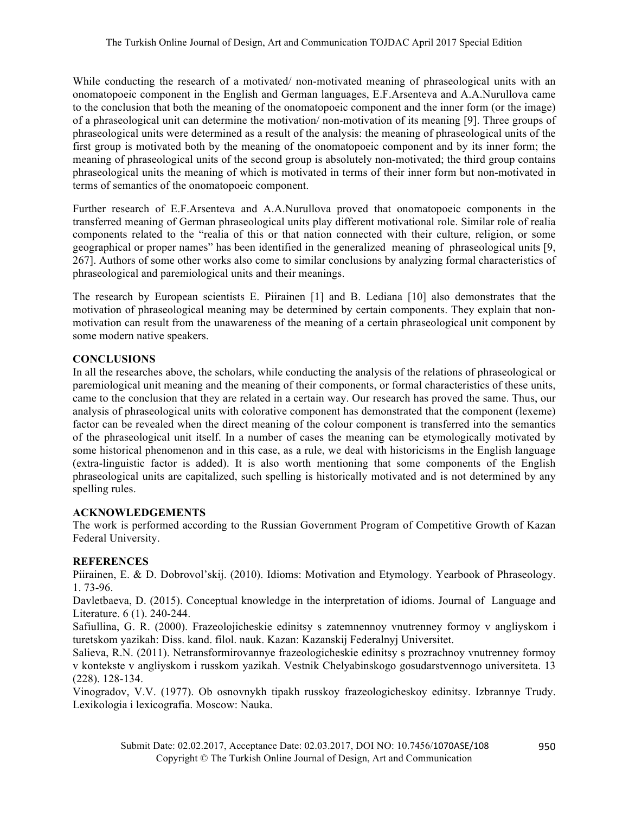While conducting the research of a motivated/ non-motivated meaning of phraseological units with an onomatopoeic component in the English and German languages, E.F.Arsenteva and A.A.Nurullova came to the conclusion that both the meaning of the onomatopoeic component and the inner form (or the image) of a phraseological unit can determine the motivation/ non-motivation of its meaning [9]. Three groups of phraseological units were determined as a result of the analysis: the meaning of phraseological units of the first group is motivated both by the meaning of the onomatopoeic component and by its inner form; the meaning of phraseological units of the second group is absolutely non-motivated; the third group contains phraseological units the meaning of which is motivated in terms of their inner form but non-motivated in terms of semantics of the onomatopoeic component.

Further research of E.F.Arsenteva and A.A.Nurullova proved that onomatopoeic components in the transferred meaning of German phraseological units play different motivational role. Similar role of realia components related to the "realia of this or that nation connected with their culture, religion, or some geographical or proper names" has been identified in the generalized meaning of phraseological units [9, 267]. Authors of some other works also come to similar conclusions by analyzing formal characteristics of phraseological and paremiological units and their meanings.

The research by European scientists E. Piirainen [1] and B. Lediana [10] also demonstrates that the motivation of phraseological meaning may be determined by certain components. They explain that nonmotivation can result from the unawareness of the meaning of a certain phraseological unit component by some modern native speakers.

## **CONCLUSIONS**

In all the researches above, the scholars, while conducting the analysis of the relations of phraseological or paremiological unit meaning and the meaning of their components, or formal characteristics of these units, came to the conclusion that they are related in a certain way. Our research has proved the same. Thus, our analysis of phraseological units with colorative component has demonstrated that the component (lexeme) factor can be revealed when the direct meaning of the colour component is transferred into the semantics of the phraseological unit itself. In a number of cases the meaning can be etymologically motivated by some historical phenomenon and in this case, as a rule, we deal with historicisms in the English language (extra-linguistic factor is added). It is also worth mentioning that some components of the English phraseological units are capitalized, such spelling is historically motivated and is not determined by any spelling rules.

## **ACKNOWLEDGEMENTS**

The work is performed according to the Russian Government Program of Competitive Growth of Kazan Federal University.

## **REFERENCES**

Piirainen, E. & D. Dobrovol'skij. (2010). Idioms: Motivation and Etymology. Yearbook of Phraseology. 1. 73-96.

Davletbaeva, D. (2015). Conceptual knowledge in the interpretation of idioms. Journal of Language and Literature. 6 (1). 240-244.

Safiullina, G. R. (2000). Frazeolojicheskie edinitsy s zatemnennoy vnutrenney formoy v angliyskom i turetskom yazikah: Diss. kand. filol. nauk. Kazan: Kazanskij Federalnyj Universitet.

Salieva, R.N. (2011). Netransformirovannye frazeologicheskie edinitsy s prozrachnoy vnutrenney formoy v kontekste v angliyskom i russkom yazikah. Vestnik Chelyabinskogo gosudarstvennogo universiteta. 13 (228). 128-134.

Vinogradov, V.V. (1977). Ob osnovnykh tipakh russkoy frazeologicheskoy edinitsy. Izbrannye Trudy. Lexikologia i lexicografia. Moscow: Nauka.